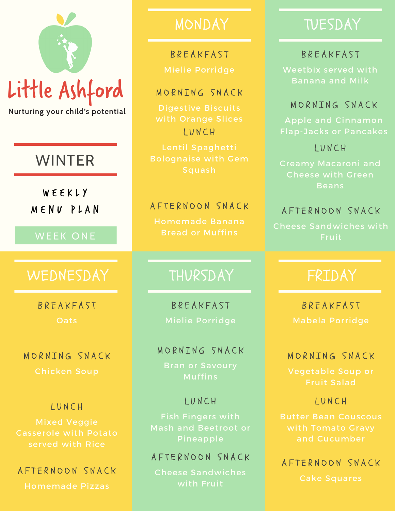# Little Ashford

Nurturing your child's potential

# WINTER

W E E K L Y M E N U P L A N

#### WEEK ONE

## WEDNESDAY | THURSDAY | FRIDAY

**R R F A K F A S T Oats** 

MORNTNG SNACK

#### L U N C H

Casserole with Potato served with Rice

#### A F T E R N O O N S N A C K

Homemade Pizzas

# **BREAKFAST**

#### MORNING SNACK

Digestive Biscuits L U N C H

#### A F T E R N O O N S N A C K

Homemade Banana Bread or Muffins

**BREAKFAST** Mielie Porridge

#### MORNING SNACK

Bran or Savoury

#### L U N C H

Fish Fingers with

#### A F T E R N O O N S N A C K

Cheese Sandwiches

# MONDAY TUESDAY

#### **BREAKFAST**

Weetbix served with Banana and Milk

#### MORNTNG SNACK

L U N C H

Beans

#### A F T E R N O O N S N A C K

Cheese Sandwiches with Fruit

**BREAKFAST** 

#### MORNTNG SNACK

#### L U N C H

Butter Bean Couscous

A F T E R N O O N S N A C K